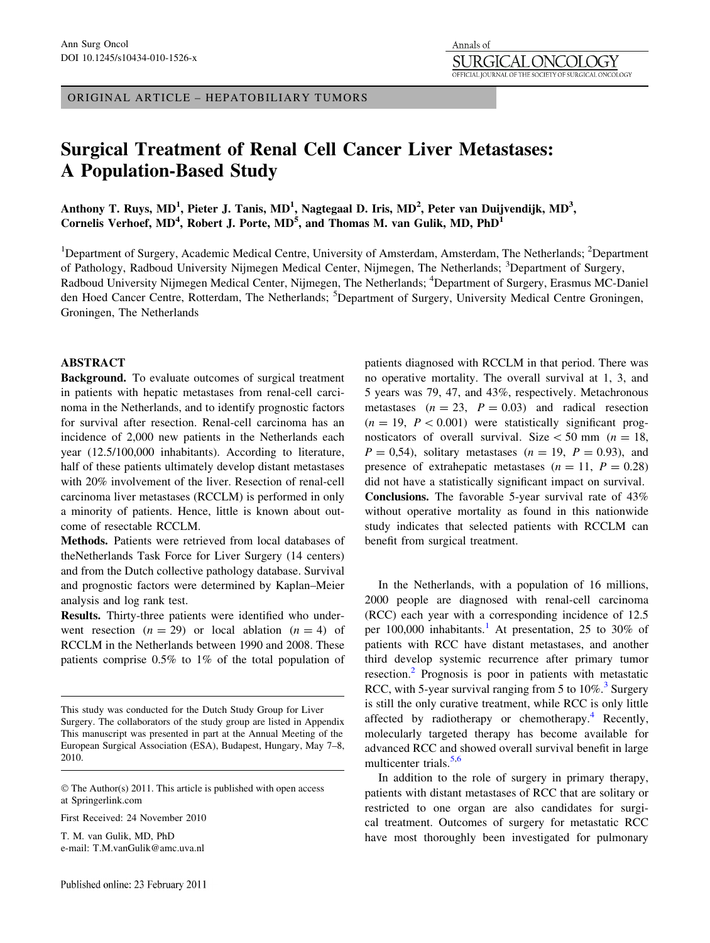ORIGINAL ARTICLE – HEPATOBILIARY TUMORS

# Surgical Treatment of Renal Cell Cancer Liver Metastases: A Population-Based Study

Anthony T. Ruys, MD<sup>1</sup>, Pieter J. Tanis, MD<sup>1</sup>, Nagtegaal D. Iris, MD<sup>2</sup>, Peter van Duijvendijk, MD<sup>3</sup>, Cornelis Verhoef, MD<sup>4</sup>, Robert J. Porte, MD<sup>5</sup>, and Thomas M. van Gulik, MD, PhD<sup>1</sup>

<sup>1</sup>Department of Surgery, Academic Medical Centre, University of Amsterdam, Amsterdam, The Netherlands; <sup>2</sup>Department of Pathology, Radboud University Nijmegen Medical Center, Nijmegen, The Netherlands; <sup>3</sup>Department of Surgery, Radboud University Nijmegen Medical Center, Nijmegen, The Netherlands; <sup>4</sup>Department of Surgery, Erasmus MC-Daniel den Hoed Cancer Centre, Rotterdam, The Netherlands; <sup>5</sup>Department of Surgery, University Medical Centre Groningen, Groningen, The Netherlands

## ABSTRACT

Background. To evaluate outcomes of surgical treatment in patients with hepatic metastases from renal-cell carcinoma in the Netherlands, and to identify prognostic factors for survival after resection. Renal-cell carcinoma has an incidence of 2,000 new patients in the Netherlands each year (12.5/100,000 inhabitants). According to literature, half of these patients ultimately develop distant metastases with 20% involvement of the liver. Resection of renal-cell carcinoma liver metastases (RCCLM) is performed in only a minority of patients. Hence, little is known about outcome of resectable RCCLM.

Methods. Patients were retrieved from local databases of theNetherlands Task Force for Liver Surgery (14 centers) and from the Dutch collective pathology database. Survival and prognostic factors were determined by Kaplan–Meier analysis and log rank test.

Results. Thirty-three patients were identified who underwent resection  $(n = 29)$  or local ablation  $(n = 4)$  of RCCLM in the Netherlands between 1990 and 2008. These patients comprise 0.5% to 1% of the total population of

© The Author(s) 2011. This article is published with open access at Springerlink.com

First Received: 24 November 2010

T. M. van Gulik, MD, PhD e-mail: T.M.vanGulik@amc.uva.nl patients diagnosed with RCCLM in that period. There was no operative mortality. The overall survival at 1, 3, and 5 years was 79, 47, and 43%, respectively. Metachronous metastases  $(n = 23, P = 0.03)$  and radical resection  $(n = 19, P < 0.001)$  were statistically significant prognosticators of overall survival. Size  $\lt 50$  mm (n = 18,  $P = 0.54$ , solitary metastases ( $n = 19$ ,  $P = 0.93$ ), and presence of extrahepatic metastases  $(n = 11, P = 0.28)$ did not have a statistically significant impact on survival. Conclusions. The favorable 5-year survival rate of 43% without operative mortality as found in this nationwide study indicates that selected patients with RCCLM can benefit from surgical treatment.

In the Netherlands, with a population of 16 millions, 2000 people are diagnosed with renal-cell carcinoma (RCC) each year with a corresponding incidence of 12.5 per  $100,000$  $100,000$  inhabitants.<sup>1</sup> At presentation, 25 to 30% of patients with RCC have distant metastases, and another third develop systemic recurrence after primary tumor resection.[2](#page-5-0) Prognosis is poor in patients with metastatic RCC, with 5-year survival ranging from 5 to  $10\%$ <sup>[3](#page-5-0)</sup> Surgery is still the only curative treatment, while RCC is only little affected by radiotherapy or chemotherapy.<sup>[4](#page-5-0)</sup> Recently, molecularly targeted therapy has become available for advanced RCC and showed overall survival benefit in large multicenter trials.<sup>[5,6](#page-5-0)</sup>

In addition to the role of surgery in primary therapy, patients with distant metastases of RCC that are solitary or restricted to one organ are also candidates for surgical treatment. Outcomes of surgery for metastatic RCC have most thoroughly been investigated for pulmonary

This study was conducted for the Dutch Study Group for Liver Surgery. The collaborators of the study group are listed in Appendix This manuscript was presented in part at the Annual Meeting of the European Surgical Association (ESA), Budapest, Hungary, May 7–8, 2010.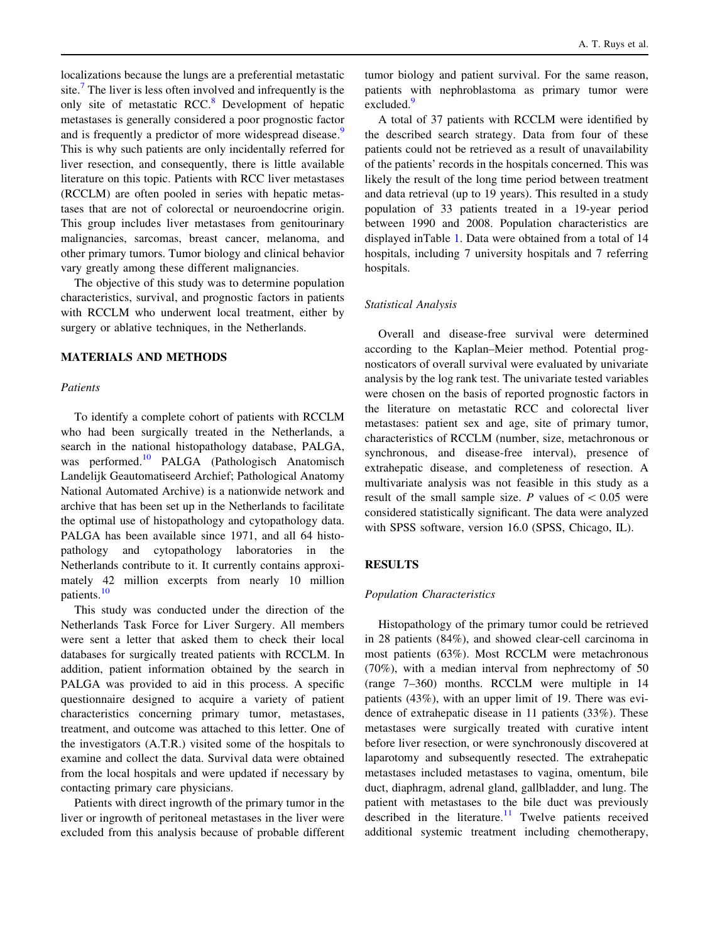localizations because the lungs are a preferential metastatic site. $<sup>7</sup>$  $<sup>7</sup>$  $<sup>7</sup>$  The liver is less often involved and infrequently is the</sup> only site of metastatic RCC.<sup>[8](#page-5-0)</sup> Development of hepatic metastases is generally considered a poor prognostic factor and is frequently a predictor of more widespread disease.<sup>[9](#page-5-0)</sup> This is why such patients are only incidentally referred for liver resection, and consequently, there is little available literature on this topic. Patients with RCC liver metastases (RCCLM) are often pooled in series with hepatic metastases that are not of colorectal or neuroendocrine origin. This group includes liver metastases from genitourinary malignancies, sarcomas, breast cancer, melanoma, and other primary tumors. Tumor biology and clinical behavior vary greatly among these different malignancies.

The objective of this study was to determine population characteristics, survival, and prognostic factors in patients with RCCLM who underwent local treatment, either by surgery or ablative techniques, in the Netherlands.

## MATERIALS AND METHODS

## Patients

To identify a complete cohort of patients with RCCLM who had been surgically treated in the Netherlands, a search in the national histopathology database, PALGA, was performed.<sup>[10](#page-5-0)</sup> PALGA (Pathologisch Anatomisch Landelijk Geautomatiseerd Archief; Pathological Anatomy National Automated Archive) is a nationwide network and archive that has been set up in the Netherlands to facilitate the optimal use of histopathology and cytopathology data. PALGA has been available since 1971, and all 64 histopathology and cytopathology laboratories in the Netherlands contribute to it. It currently contains approximately 42 million excerpts from nearly 10 million patients.<sup>[10](#page-5-0)</sup>

This study was conducted under the direction of the Netherlands Task Force for Liver Surgery. All members were sent a letter that asked them to check their local databases for surgically treated patients with RCCLM. In addition, patient information obtained by the search in PALGA was provided to aid in this process. A specific questionnaire designed to acquire a variety of patient characteristics concerning primary tumor, metastases, treatment, and outcome was attached to this letter. One of the investigators (A.T.R.) visited some of the hospitals to examine and collect the data. Survival data were obtained from the local hospitals and were updated if necessary by contacting primary care physicians.

Patients with direct ingrowth of the primary tumor in the liver or ingrowth of peritoneal metastases in the liver were excluded from this analysis because of probable different

tumor biology and patient survival. For the same reason, patients with nephroblastoma as primary tumor were excluded.<sup>[9](#page-5-0)</sup>

A total of 37 patients with RCCLM were identified by the described search strategy. Data from four of these patients could not be retrieved as a result of unavailability of the patients' records in the hospitals concerned. This was likely the result of the long time period between treatment and data retrieval (up to 19 years). This resulted in a study population of 33 patients treated in a 19-year period between 1990 and 2008. Population characteristics are displayed inTable [1.](#page-2-0) Data were obtained from a total of 14 hospitals, including 7 university hospitals and 7 referring hospitals.

### Statistical Analysis

Overall and disease-free survival were determined according to the Kaplan–Meier method. Potential prognosticators of overall survival were evaluated by univariate analysis by the log rank test. The univariate tested variables were chosen on the basis of reported prognostic factors in the literature on metastatic RCC and colorectal liver metastases: patient sex and age, site of primary tumor, characteristics of RCCLM (number, size, metachronous or synchronous, and disease-free interval), presence of extrahepatic disease, and completeness of resection. A multivariate analysis was not feasible in this study as a result of the small sample size. P values of  $< 0.05$  were considered statistically significant. The data were analyzed with SPSS software, version 16.0 (SPSS, Chicago, IL).

### **RESULTS**

## Population Characteristics

Histopathology of the primary tumor could be retrieved in 28 patients (84%), and showed clear-cell carcinoma in most patients (63%). Most RCCLM were metachronous (70%), with a median interval from nephrectomy of 50 (range 7–360) months. RCCLM were multiple in 14 patients (43%), with an upper limit of 19. There was evidence of extrahepatic disease in 11 patients (33%). These metastases were surgically treated with curative intent before liver resection, or were synchronously discovered at laparotomy and subsequently resected. The extrahepatic metastases included metastases to vagina, omentum, bile duct, diaphragm, adrenal gland, gallbladder, and lung. The patient with metastases to the bile duct was previously described in the literature.<sup>[11](#page-5-0)</sup> Twelve patients received additional systemic treatment including chemotherapy,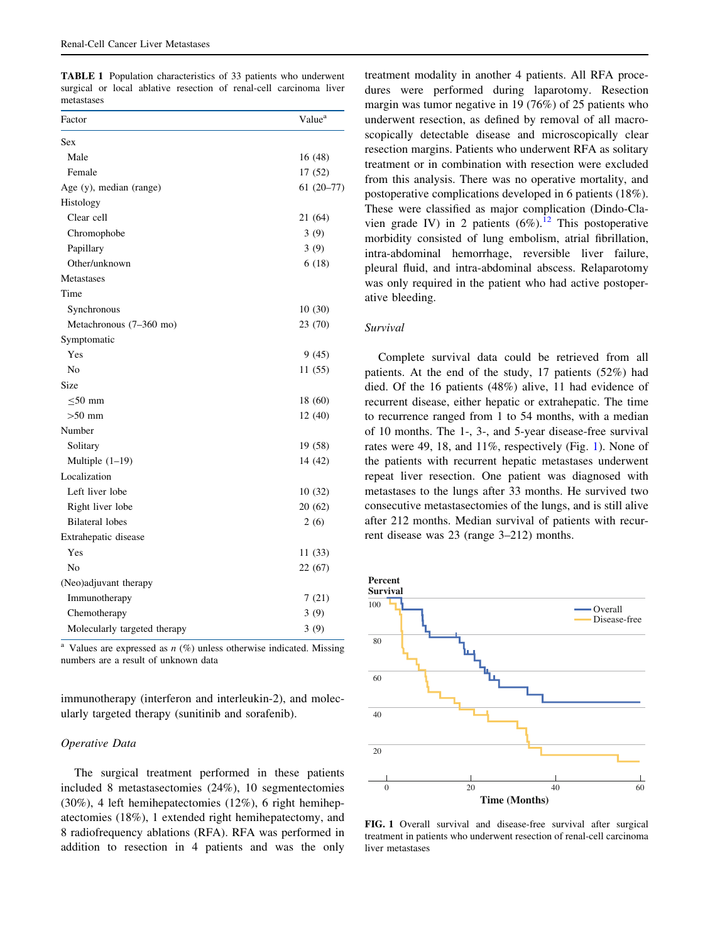<span id="page-2-0"></span>TABLE 1 Population characteristics of 33 patients who underwent surgical or local ablative resection of renal-cell carcinoma liver metastases

| Factor                       | Value <sup>a</sup> |
|------------------------------|--------------------|
| Sex                          |                    |
| Male                         | 16(48)             |
| Female                       | 17 (52)            |
| Age (y), median (range)      | $61(20-77)$        |
| Histology                    |                    |
| Clear cell                   | 21 (64)            |
| Chromophobe                  | 3(9)               |
| Papillary                    | 3(9)               |
| Other/unknown                | 6(18)              |
| Metastases                   |                    |
| Time                         |                    |
| Synchronous                  | 10(30)             |
| Metachronous (7-360 mo)      | 23 (70)            |
| Symptomatic                  |                    |
| Yes                          | 9(45)              |
| No                           | 11(55)             |
| Size                         |                    |
| $\leq 50$ mm                 | 18 (60)            |
| $>50$ mm                     | 12(40)             |
| Number                       |                    |
| Solitary                     | 19 (58)            |
| Multiple $(1-19)$            | 14 (42)            |
| Localization                 |                    |
| Left liver lobe              | 10(32)             |
| Right liver lobe             | 20(62)             |
| <b>Bilateral lobes</b>       | 2(6)               |
| Extrahepatic disease         |                    |
| Yes                          | 11(33)             |
| No                           | 22 (67)            |
| (Neo)adjuvant therapy        |                    |
| Immunotherapy                | 7(21)              |
| Chemotherapy                 | 3(9)               |
| Molecularly targeted therapy | 3(9)               |

Values are expressed as  $n$  (%) unless otherwise indicated. Missing numbers are a result of unknown data

immunotherapy (interferon and interleukin-2), and molecularly targeted therapy (sunitinib and sorafenib).

#### Operative Data

The surgical treatment performed in these patients included 8 metastasectomies (24%), 10 segmentectomies (30%), 4 left hemihepatectomies (12%), 6 right hemihepatectomies (18%), 1 extended right hemihepatectomy, and 8 radiofrequency ablations (RFA). RFA was performed in addition to resection in 4 patients and was the only

treatment modality in another 4 patients. All RFA procedures were performed during laparotomy. Resection margin was tumor negative in 19 (76%) of 25 patients who underwent resection, as defined by removal of all macroscopically detectable disease and microscopically clear resection margins. Patients who underwent RFA as solitary treatment or in combination with resection were excluded from this analysis. There was no operative mortality, and postoperative complications developed in 6 patients (18%). These were classified as major complication (Dindo-Clavien grade IV) in 2 patients  $(6\%)$ .<sup>[12](#page-5-0)</sup> This postoperative morbidity consisted of lung embolism, atrial fibrillation, intra-abdominal hemorrhage, reversible liver failure, pleural fluid, and intra-abdominal abscess. Relaparotomy was only required in the patient who had active postoperative bleeding.

#### Survival

Complete survival data could be retrieved from all patients. At the end of the study, 17 patients (52%) had died. Of the 16 patients (48%) alive, 11 had evidence of recurrent disease, either hepatic or extrahepatic. The time to recurrence ranged from 1 to 54 months, with a median of 10 months. The 1-, 3-, and 5-year disease-free survival rates were 49, 18, and 11%, respectively (Fig. 1). None of the patients with recurrent hepatic metastases underwent repeat liver resection. One patient was diagnosed with metastases to the lungs after 33 months. He survived two consecutive metastasectomies of the lungs, and is still alive after 212 months. Median survival of patients with recurrent disease was 23 (range 3–212) months.



FIG. 1 Overall survival and disease-free survival after surgical treatment in patients who underwent resection of renal-cell carcinoma liver metastases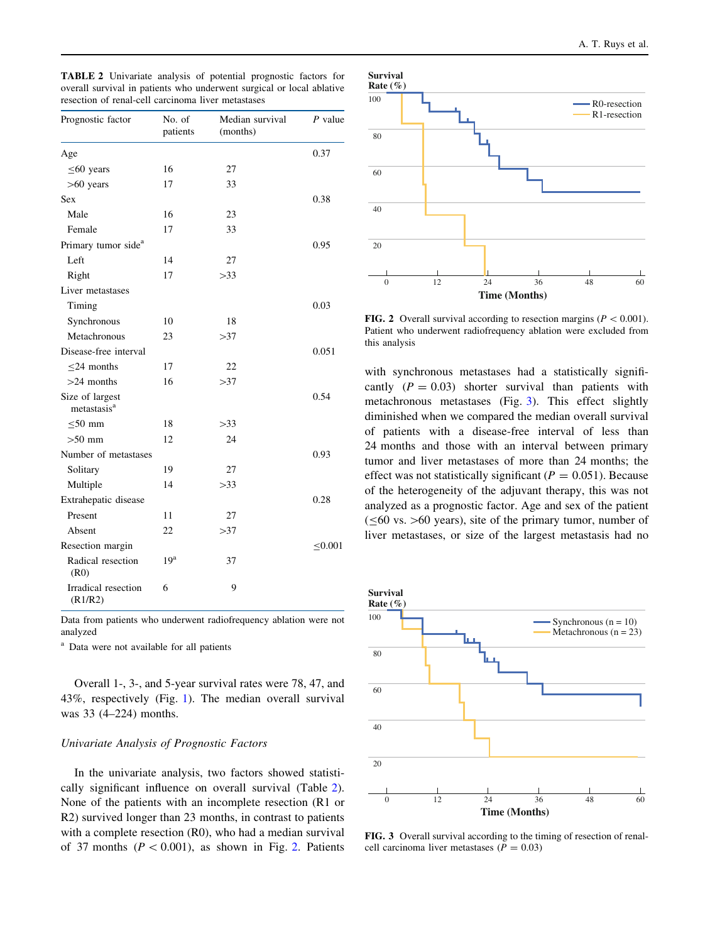<span id="page-3-0"></span>TABLE 2 Univariate analysis of potential prognostic factors for overall survival in patients who underwent surgical or local ablative resection of renal-cell carcinoma liver metastases

| Prognostic factor                          | No. of<br>patients | Median survival<br>(months) | $P$ value |
|--------------------------------------------|--------------------|-----------------------------|-----------|
| Age                                        |                    | 0.37                        |           |
| $\leq 60$ years                            | 16                 | 27                          |           |
| $>60$ years                                | 17                 | 33                          |           |
| <b>Sex</b>                                 |                    |                             | 0.38      |
| Male                                       | 16                 | 23                          |           |
| Female                                     | 17                 | 33                          |           |
| Primary tumor side <sup>a</sup>            |                    |                             | 0.95      |
| Left                                       | 14                 | 27                          |           |
| Right                                      | 17                 | $>33$                       |           |
| Liver metastases                           |                    |                             |           |
| Timing                                     |                    | 0.03                        |           |
| Synchronous                                | 10                 | 18                          |           |
| Metachronous                               | 23                 | >37                         |           |
| Disease-free interval                      |                    |                             | 0.051     |
| $<$ 24 months                              | 17                 | 22                          |           |
| $>24$ months                               | 16                 | >37                         |           |
| Size of largest<br>metastasis <sup>a</sup> |                    |                             | 0.54      |
| $<$ 50 mm                                  | 18                 | >33                         |           |
| $>50$ mm                                   | 12                 | 24                          |           |
| Number of metastases                       |                    | 0.93                        |           |
| Solitary                                   | 19                 | 27                          |           |
| Multiple                                   | 14                 | $>33$                       |           |
| Extrahepatic disease                       |                    |                             | 0.28      |
| Present                                    | 11                 | 27                          |           |
| Absent                                     | 22                 | >37                         |           |
| Resection margin                           |                    |                             | < 0.001   |
| Radical resection<br>(R0)                  | 19 <sup>a</sup>    | 37                          |           |
| Irradical resection<br>(R1/R2)             | 6                  | 9                           |           |

Data from patients who underwent radiofrequency ablation were not analyzed

<sup>a</sup> Data were not available for all patients

Overall 1-, 3-, and 5-year survival rates were 78, 47, and 43%, respectively (Fig. [1\)](#page-2-0). The median overall survival was 33 (4–224) months.

#### Univariate Analysis of Prognostic Factors

In the univariate analysis, two factors showed statistically significant influence on overall survival (Table 2). None of the patients with an incomplete resection (R1 or R2) survived longer than 23 months, in contrast to patients with a complete resection (R0), who had a median survival of 37 months ( $P < 0.001$ ), as shown in Fig. 2. Patients



FIG. 2 Overall survival according to resection margins ( $P < 0.001$ ). Patient who underwent radiofrequency ablation were excluded from this analysis

with synchronous metastases had a statistically significantly  $(P = 0.03)$  shorter survival than patients with metachronous metastases (Fig. 3). This effect slightly diminished when we compared the median overall survival of patients with a disease-free interval of less than 24 months and those with an interval between primary tumor and liver metastases of more than 24 months; the effect was not statistically significant ( $P = 0.051$ ). Because of the heterogeneity of the adjuvant therapy, this was not analyzed as a prognostic factor. Age and sex of the patient  $(\leq 60 \text{ vs. } > 60 \text{ years})$ , site of the primary tumor, number of liver metastases, or size of the largest metastasis had no



FIG. 3 Overall survival according to the timing of resection of renalcell carcinoma liver metastases ( $P = 0.03$ )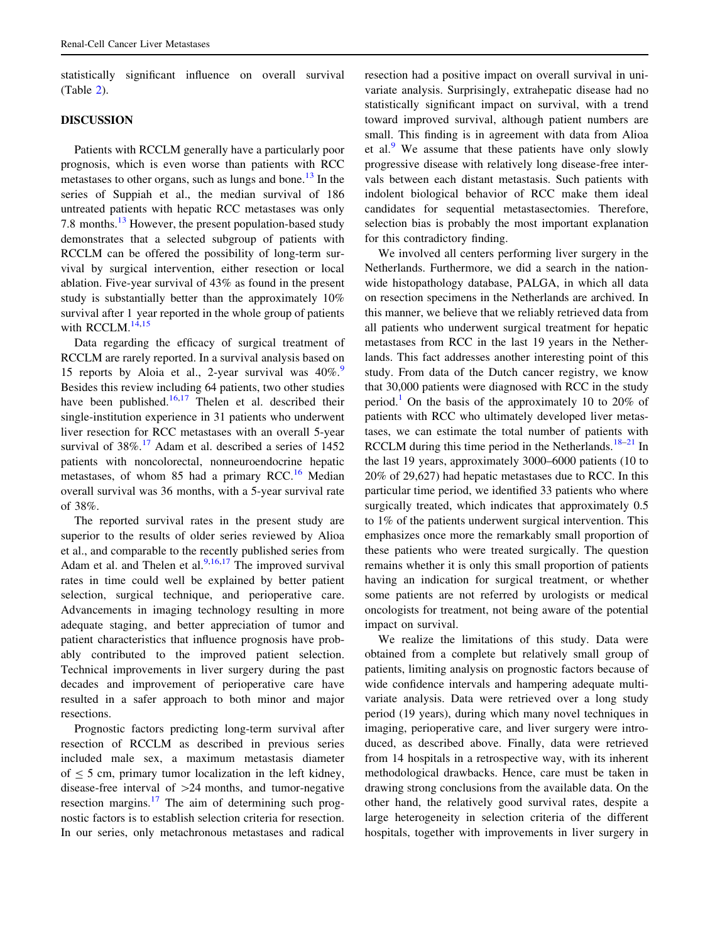statistically significant influence on overall survival (Table [2](#page-3-0)).

#### DISCUSSION

Patients with RCCLM generally have a particularly poor prognosis, which is even worse than patients with RCC metastases to other organs, such as lungs and bone.<sup>[13](#page-5-0)</sup> In the series of Suppiah et al., the median survival of 186 untreated patients with hepatic RCC metastases was only 7.8 months.<sup>[13](#page-5-0)</sup> However, the present population-based study demonstrates that a selected subgroup of patients with RCCLM can be offered the possibility of long-term survival by surgical intervention, either resection or local ablation. Five-year survival of 43% as found in the present study is substantially better than the approximately 10% survival after 1 year reported in the whole group of patients with RCCLM.<sup>[14](#page-5-0),[15](#page-5-0)</sup>

Data regarding the efficacy of surgical treatment of RCCLM are rarely reported. In a survival analysis based on 15 reports by Aloia et al., 2-year survival was  $40\%$ . Besides this review including 64 patients, two other studies have been published. $16,17$  $16,17$  Thelen et al. described their single-institution experience in 31 patients who underwent liver resection for RCC metastases with an overall 5-year survival of 38%.<sup>[17](#page-6-0)</sup> Adam et al. described a series of 1452 patients with noncolorectal, nonneuroendocrine hepatic metastases, of whom 85 had a primary  $RCC<sup>16</sup>$  $RCC<sup>16</sup>$  $RCC<sup>16</sup>$  Median overall survival was 36 months, with a 5-year survival rate of 38%.

The reported survival rates in the present study are superior to the results of older series reviewed by Alioa et al., and comparable to the recently published series from Adam et al. and Thelen et al. $\frac{9,16,17}{9}$  $\frac{9,16,17}{9}$  $\frac{9,16,17}{9}$  $\frac{9,16,17}{9}$  $\frac{9,16,17}{9}$  The improved survival rates in time could well be explained by better patient selection, surgical technique, and perioperative care. Advancements in imaging technology resulting in more adequate staging, and better appreciation of tumor and patient characteristics that influence prognosis have probably contributed to the improved patient selection. Technical improvements in liver surgery during the past decades and improvement of perioperative care have resulted in a safer approach to both minor and major resections.

Prognostic factors predicting long-term survival after resection of RCCLM as described in previous series included male sex, a maximum metastasis diameter of  $\leq$  5 cm, primary tumor localization in the left kidney, disease-free interval of  $>24$  months, and tumor-negative resection margins. $17$  The aim of determining such prognostic factors is to establish selection criteria for resection. In our series, only metachronous metastases and radical resection had a positive impact on overall survival in univariate analysis. Surprisingly, extrahepatic disease had no statistically significant impact on survival, with a trend toward improved survival, although patient numbers are small. This finding is in agreement with data from Alioa et al. $9$  We assume that these patients have only slowly progressive disease with relatively long disease-free intervals between each distant metastasis. Such patients with indolent biological behavior of RCC make them ideal candidates for sequential metastasectomies. Therefore, selection bias is probably the most important explanation for this contradictory finding.

We involved all centers performing liver surgery in the Netherlands. Furthermore, we did a search in the nationwide histopathology database, PALGA, in which all data on resection specimens in the Netherlands are archived. In this manner, we believe that we reliably retrieved data from all patients who underwent surgical treatment for hepatic metastases from RCC in the last 19 years in the Netherlands. This fact addresses another interesting point of this study. From data of the Dutch cancer registry, we know that 30,000 patients were diagnosed with RCC in the study period.<sup>[1](#page-5-0)</sup> On the basis of the approximately 10 to 20% of patients with RCC who ultimately developed liver metastases, we can estimate the total number of patients with RCCLM during this time period in the Netherlands.<sup>[18](#page-6-0)–[21](#page-6-0)</sup> In the last 19 years, approximately 3000–6000 patients (10 to 20% of 29,627) had hepatic metastases due to RCC. In this particular time period, we identified 33 patients who where surgically treated, which indicates that approximately 0.5 to 1% of the patients underwent surgical intervention. This emphasizes once more the remarkably small proportion of these patients who were treated surgically. The question remains whether it is only this small proportion of patients having an indication for surgical treatment, or whether some patients are not referred by urologists or medical oncologists for treatment, not being aware of the potential impact on survival.

We realize the limitations of this study. Data were obtained from a complete but relatively small group of patients, limiting analysis on prognostic factors because of wide confidence intervals and hampering adequate multivariate analysis. Data were retrieved over a long study period (19 years), during which many novel techniques in imaging, perioperative care, and liver surgery were introduced, as described above. Finally, data were retrieved from 14 hospitals in a retrospective way, with its inherent methodological drawbacks. Hence, care must be taken in drawing strong conclusions from the available data. On the other hand, the relatively good survival rates, despite a large heterogeneity in selection criteria of the different hospitals, together with improvements in liver surgery in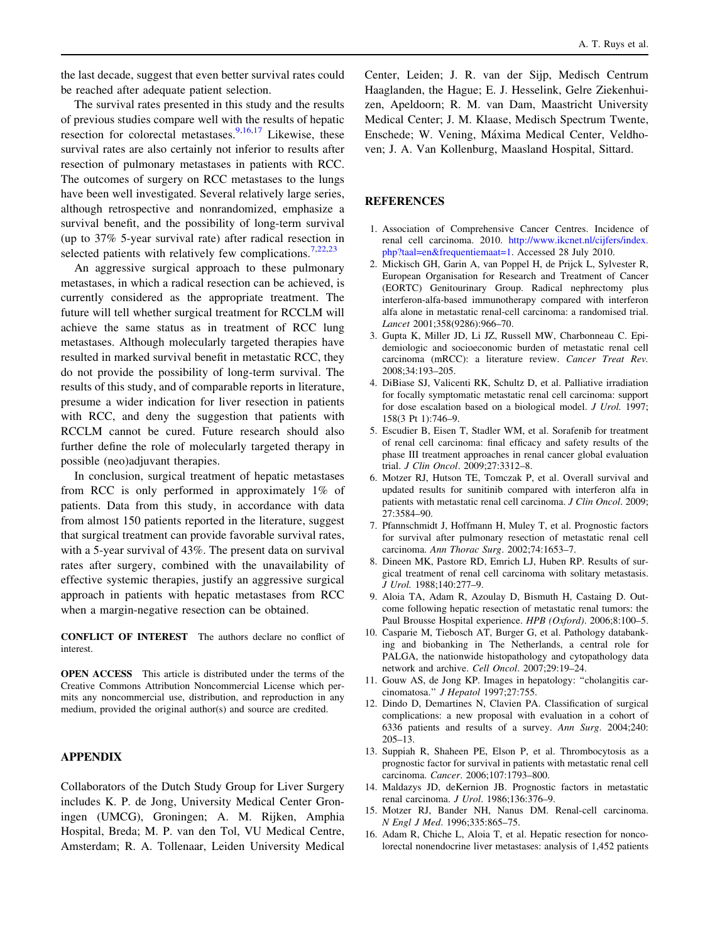<span id="page-5-0"></span>the last decade, suggest that even better survival rates could be reached after adequate patient selection.

The survival rates presented in this study and the results of previous studies compare well with the results of hepatic resection for colorectal metastases.  $9,16,17$  $9,16,17$  Likewise, these survival rates are also certainly not inferior to results after resection of pulmonary metastases in patients with RCC. The outcomes of surgery on RCC metastases to the lungs have been well investigated. Several relatively large series, although retrospective and nonrandomized, emphasize a survival benefit, and the possibility of long-term survival (up to 37% 5-year survival rate) after radical resection in selected patients with relatively few complications.<sup>7[,22,23](#page-6-0)</sup>

An aggressive surgical approach to these pulmonary metastases, in which a radical resection can be achieved, is currently considered as the appropriate treatment. The future will tell whether surgical treatment for RCCLM will achieve the same status as in treatment of RCC lung metastases. Although molecularly targeted therapies have resulted in marked survival benefit in metastatic RCC, they do not provide the possibility of long-term survival. The results of this study, and of comparable reports in literature, presume a wider indication for liver resection in patients with RCC, and deny the suggestion that patients with RCCLM cannot be cured. Future research should also further define the role of molecularly targeted therapy in possible (neo)adjuvant therapies.

In conclusion, surgical treatment of hepatic metastases from RCC is only performed in approximately 1% of patients. Data from this study, in accordance with data from almost 150 patients reported in the literature, suggest that surgical treatment can provide favorable survival rates, with a 5-year survival of 43%. The present data on survival rates after surgery, combined with the unavailability of effective systemic therapies, justify an aggressive surgical approach in patients with hepatic metastases from RCC when a margin-negative resection can be obtained.

CONFLICT OF INTEREST The authors declare no conflict of interest.

OPEN ACCESS This article is distributed under the terms of the Creative Commons Attribution Noncommercial License which permits any noncommercial use, distribution, and reproduction in any medium, provided the original author(s) and source are credited.

#### APPENDIX

Collaborators of the Dutch Study Group for Liver Surgery includes K. P. de Jong, University Medical Center Groningen (UMCG), Groningen; A. M. Rijken, Amphia Hospital, Breda; M. P. van den Tol, VU Medical Centre, Amsterdam; R. A. Tollenaar, Leiden University Medical Center, Leiden; J. R. van der Sijp, Medisch Centrum Haaglanden, the Hague; E. J. Hesselink, Gelre Ziekenhuizen, Apeldoorn; R. M. van Dam, Maastricht University Medical Center; J. M. Klaase, Medisch Spectrum Twente, Enschede; W. Vening, Máxima Medical Center, Veldhoven; J. A. Van Kollenburg, Maasland Hospital, Sittard.

## REFERENCES

- 1. Association of Comprehensive Cancer Centres. Incidence of renal cell carcinoma. 2010. [http://www.ikcnet.nl/cijfers/index.](http://www.ikcnet.nl/cijfers/index.php?taal=en&frequentiemaat=1) [php?taal=en&frequentiemaat=1](http://www.ikcnet.nl/cijfers/index.php?taal=en&frequentiemaat=1). Accessed 28 July 2010.
- 2. Mickisch GH, Garin A, van Poppel H, de Prijck L, Sylvester R, European Organisation for Research and Treatment of Cancer (EORTC) Genitourinary Group. Radical nephrectomy plus interferon-alfa-based immunotherapy compared with interferon alfa alone in metastatic renal-cell carcinoma: a randomised trial. Lancet 2001;358(9286):966–70.
- 3. Gupta K, Miller JD, Li JZ, Russell MW, Charbonneau C. Epidemiologic and socioeconomic burden of metastatic renal cell carcinoma (mRCC): a literature review. Cancer Treat Rev. 2008;34:193–205.
- 4. DiBiase SJ, Valicenti RK, Schultz D, et al. Palliative irradiation for focally symptomatic metastatic renal cell carcinoma: support for dose escalation based on a biological model. J Urol. 1997; 158(3 Pt 1):746–9.
- 5. Escudier B, Eisen T, Stadler WM, et al. Sorafenib for treatment of renal cell carcinoma: final efficacy and safety results of the phase III treatment approaches in renal cancer global evaluation trial. J Clin Oncol. 2009;27:3312–8.
- 6. Motzer RJ, Hutson TE, Tomczak P, et al. Overall survival and updated results for sunitinib compared with interferon alfa in patients with metastatic renal cell carcinoma. J Clin Oncol. 2009; 27:3584–90.
- 7. Pfannschmidt J, Hoffmann H, Muley T, et al. Prognostic factors for survival after pulmonary resection of metastatic renal cell carcinoma. Ann Thorac Surg. 2002;74:1653–7.
- 8. Dineen MK, Pastore RD, Emrich LJ, Huben RP. Results of surgical treatment of renal cell carcinoma with solitary metastasis. J Urol. 1988;140:277–9.
- 9. Aloia TA, Adam R, Azoulay D, Bismuth H, Castaing D. Outcome following hepatic resection of metastatic renal tumors: the Paul Brousse Hospital experience. HPB (Oxford). 2006;8:100-5.
- 10. Casparie M, Tiebosch AT, Burger G, et al. Pathology databanking and biobanking in The Netherlands, a central role for PALGA, the nationwide histopathology and cytopathology data network and archive. Cell Oncol. 2007;29:19–24.
- 11. Gouw AS, de Jong KP. Images in hepatology: ''cholangitis carcinomatosa.'' J Hepatol 1997;27:755.
- 12. Dindo D, Demartines N, Clavien PA. Classification of surgical complications: a new proposal with evaluation in a cohort of 6336 patients and results of a survey. Ann Surg. 2004;240: 205–13.
- 13. Suppiah R, Shaheen PE, Elson P, et al. Thrombocytosis as a prognostic factor for survival in patients with metastatic renal cell carcinoma. Cancer. 2006;107:1793–800.
- 14. Maldazys JD, deKernion JB. Prognostic factors in metastatic renal carcinoma. J Urol. 1986;136:376–9.
- 15. Motzer RJ, Bander NH, Nanus DM. Renal-cell carcinoma. N Engl J Med. 1996;335:865–75.
- 16. Adam R, Chiche L, Aloia T, et al. Hepatic resection for noncolorectal nonendocrine liver metastases: analysis of 1,452 patients